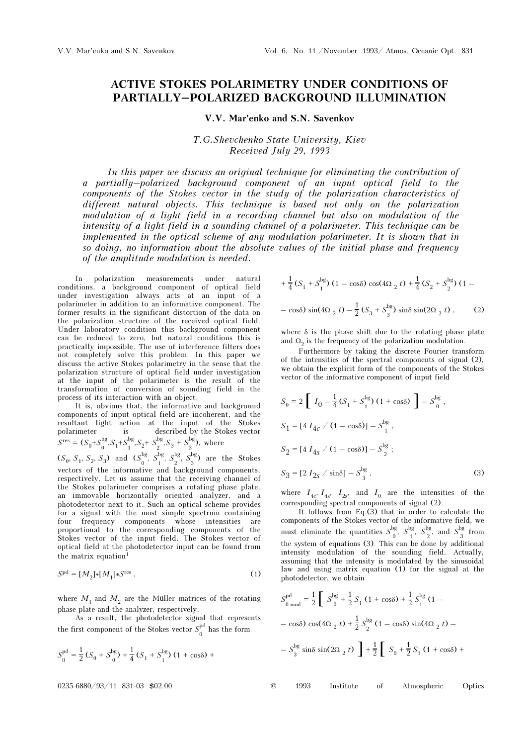## ACTIVE STOKES POLARIMETRY UNDER CONDITIONS OF PARTIALLY–POLARIZED BACKGROUND ILLUMINATION

## V.V. Mar'enko and S.N. Savenkov

T.G.Shevchenko State University, Kiev Received July 29, 1993

In this paper we discuss an original technique for eliminating the contribution of a partially–polarized background component of an input optical field to the components of the Stokes vector in the study of the polarization characteristics of different natural objects. This technique is based not only on the polarization modulation of a light field in a recording channel but also on modulation of the intensity of a light field in a sounding channel of a polarimeter. This technique can be implemented in the optical scheme of any modulation polarimeter. It is shown that in so doing, no information about the absolute values of the initial phase and frequency of the amplitude modulation is needed.

In polarization measurements under natural conditions, a background component of optical field under investigation always acts at an input of a polarimeter in addition to an informative component. The former results in the significant distortion of the data on the polarization structure of the received optical field. Under laboratory condition this background component can be reduced to zero, but natural conditions this is practically impossible. The use of interference filters does not completely solve this problem. In this paper we discuss the active Stokes polarimetry in the sense that the polarization structure of optical field under investigation at the input of the polarimeter is the result of the transformation of conversion of sounding field in the process of its interaction with an object.

It is, obvious that, the informative and background components of input optical field are incoherent, and the resultant light action at the input of the Stokes polarimeter is described by the Stokes vector  $S<sup>res</sup> = (S_0 + S_0^{bg}, S_1 + S_1^{bg}, S_2 + S_2^{bg}, S_3 + S_3^{bg})$ , where

 $(S_0, S_1, S_2, S_3)$  and  $(S_0^{\text{bg}}, S_1^{\text{bg}}, S_2^{\text{bg}}, S_3^{\text{bg}})$  are the Stokes vectors of the informative and background components, respectively. Let us assume that the receiving channel of the Stokes polarimeter comprises a rotating phase plate, an immovable horizontally oriented analyzer, and a photodetector next to it. Such an optical scheme provides for a signal with the most simple spectrum containing four frequency components whose intensities are proportional to the corresponding components of the Stokes vector of the input field. The Stokes vector of optical field at the photodetector input can be found from the matrix equation<sup>1</sup>

$$
Spd = [M2]*[M1]*Sres,
$$
\n(1)

where  $M_1$  and  $M_2$  are the Müller matrices of the rotating phase plate and the analyzer, respectively.

As a result, the photodetector signal that represents the first component of the Stokes vector  $\boldsymbol{S}_{0}^{\mathrm{pd}}$  has the form

$$
S_0^{\text{pd}} = \frac{1}{2} \left( S_0 + S_0^{\text{bg}} \right) + \frac{1}{4} \left( S_1 + S_1^{\text{bg}} \right) \left( 1 + \cos \delta \right) +
$$

$$
+\frac{1}{4}(S_1 + S_1^{\text{bg}})(1 - \cos\delta)\cos(4\Omega_2 t) + \frac{1}{4}(S_2 + S_2^{\text{bg}})(1 - \cos\delta)\sin(4\Omega_2 t) - \frac{1}{2}(S_3 + S_3^{\text{bg}})\sin\delta\sin(2\Omega_2 t), \qquad (2)
$$

where  $\delta$  is the phase shift due to the rotating phase plate and  $\Omega_2$  is the frequency of the polarization modulation.

Furthermore by taking the discrete Fourier transform of the intensities of the spectral components of signal (2), we obtain the explicit form of the components of the Stokes vector of the informative component of input field

$$
S_0 = 2 \left[ I_0 - \frac{1}{4} (S_1 + S_1^{\text{bg}}) (1 + \cos \delta) \right] - S_0^{\text{bg}},
$$
  
\n
$$
S_1 = [4 I_{4c} / (1 - \cos \delta)] - S_1^{\text{bg}},
$$
  
\n
$$
S_2 = [4 I_{4s} / (1 - \cos \delta)] - S_2^{\text{bg}};
$$
  
\n
$$
S_3 = [2 I_{2s} / \sin \delta] - S_3^{\text{bg}},
$$
\n(3)

where  $I_{4c}$ ,  $I_{4s}$ ,  $I_{2s}$ , and  $I_0$  are the intensities of the corresponding spectral components of signal (2).

It follows from  $Eq.(3)$  that in order to calculate the components of the Stokes vector of the informative field, we must eliminate the quantities  $S_0^{\text{bg}}, S_1^{\text{bg}}, S_2^{\text{bg}}, \text{ and } S_3^{\text{bg}}$  from the system of equations (3). This can be done by additional intensity modulation of the sounding field. Actually, assuming that the intensity is modulated by the sinusoidal law and using matrix equation (1) for the signal at the photodetector, we obtain

$$
S_{0 \text{ mod }}^{pd} = \frac{1}{2} \left[ S_{0}^{\text{bg}} + \frac{1}{2} S_{1} (1 + \cos \delta) + \frac{1}{2} S_{1}^{\text{bg}} (1 - \cos \delta) \cos(4\Omega_{2} t) + \frac{1}{2} S_{2}^{\text{bg}} (1 - \cos \delta) \sin(4\Omega_{2} t) - S_{3}^{\text{bg}} \sin \delta \sin(2\Omega_{2} t) \right] + \frac{1}{2} \left[ S_{0} + \frac{1}{2} S_{1} (1 + \cos \delta) + \right]
$$

0235-6880/93/11 831-03 \$02.00 © 1993 Institute of Atmospheric Optics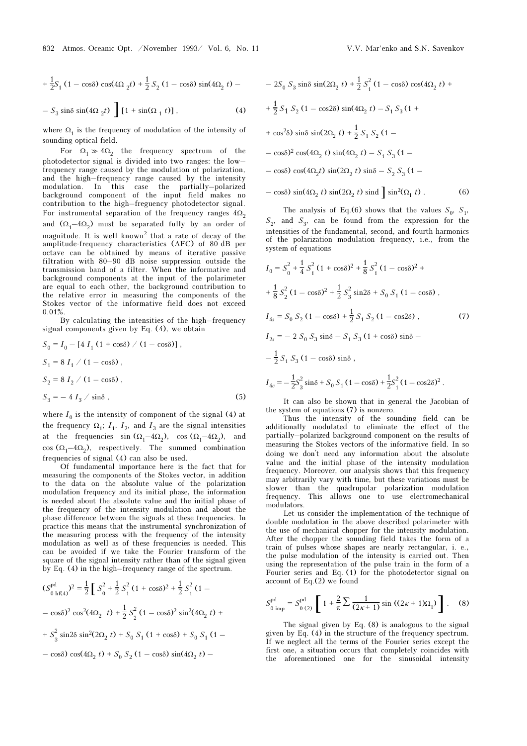$$
-S_3 \sin\delta \sin(4\Omega_2 t) \left[1 + \sin(\Omega_1 t)\right],
$$
 (4)

where  $\Omega_1$  is the frequency of modulation of the intensity of sounding optical field.

For  $\Omega_1 \gg 4\Omega_2$  the frequency spectrum of the photodetector signal is divided into two ranges: the low– frequency range caused by the modulation of polarization, and the high–frequency range caused by the intensity modulation. In this case the partially–polarized background component of the input field makes no contribution to the high–freguency photodetector signal. For instrumental separation of the frequency ranges  $4\Omega_2$ and  $(\Omega_1-4\Omega_2)$  must be separated fully by an order of magnitude. It is well known<sup>2</sup> that a rate of decay of the amplitude-frequency characteristics (AFC) of 80 dB per octave can be obtained by means of iterative passive filtration with 80–90 dB noise suppression outside the transmission band of a filter. When the informative and background components at the input of the polarimeter are equal to each other, the background contribution to the relative error in measuring the components of the Stokes vector of the informative field does not exceed 0.01%.

By calculating the intensities of the high–frequency signal components given by Eq. (4), we obtain

$$
S_0 = I_0 - [4 I_1 (1 + \cos \delta) / (1 - \cos \delta)],
$$
  
\n
$$
S_1 = 8 I_1 / (1 - \cos \delta),
$$
  
\n
$$
S_2 = 8 I_2 / (1 - \cos \delta),
$$
  
\n
$$
S_3 = -4 I_3 / \sin \delta,
$$
\n(5)

where  $I_0$  is the intensity of component of the signal (4) at the frequency  $\Omega_1$ ;  $I_1$ ,  $I_2$ , and  $I_3$  are the signal intensities at the frequencies sin  $(\Omega_1-4\Omega_2)$ , cos  $(\Omega_1-4\Omega_2)$ , and cos  $(\Omega_1-4\Omega_2)$ , respectively. The summed combination frequencies of signal (4) can also be used.

Of fundamental importance here is the fact that for measuring the components of the Stokes vector, in addition to the data on the absolute value of the polarization modulation frequency and its initial phase, the information is needed about the absolute value and the initial phase of the frequency of the intensity modulation and about the phase difference between the signals at these frequencies. In practice this means that the instrumental synchronization of the measuring process with the frequency of the intensity modulation as well as of these frequencies is needed. This can be avoided if we take the Fourier transform of the square of the signal intensity rather than of the signal given by Eq. (4) in the high–frequency range of the spectrum.

$$
(S_{0 \text{ hf(4)}}^{\text{pd}})^2 = \frac{1}{2} \int S_0^2 + \frac{1}{2} S_1^2 (1 + \cos \delta)^2 + \frac{1}{2} S_1^2 (1 - \cos \delta)^2 \cos^2(4\Omega_2 t) + \frac{1}{2} S_2^2 (1 - \cos \delta)^2 \sin^2(4\Omega_2 t) + S_3^2 \sin 2\delta \sin^2(2\Omega_2 t) + S_0 S_1 (1 + \cos \delta) + S_0 S_1 (1 - \cos \delta)^2 \cos^2(4\Omega_2 t)
$$

$$
-\cos\delta\cos(4\Omega_2 t) + S_0 S_2 (1 - \cos\delta)\sin(4\Omega_2 t) -
$$

$$
- 2S_0 S_3 \sin \delta \sin(2\Omega_2 t) + \frac{1}{2} S_1^2 (1 - \cos \delta) \cos(4\Omega_2 t) +
$$
  
+  $\frac{1}{2} S_1 S_2 (1 - \cos 2\delta) \sin(4\Omega_2 t) - S_1 S_3 (1 +$   
+  $\cos^2 \delta$ )  $\sin \delta \sin(2\Omega_2 t) + \frac{1}{2} S_1 S_2 (1 -$   
-  $\cos \delta$ )<sup>2</sup>  $\cos(4\Omega_2 t) \sin(4\Omega_2 t) - S_1 S_3 (1 -$   
-  $\cos \delta$ )  $\cos(4\Omega_2 t) \sin(2\Omega_2 t) \sin \delta - S_2 S_3 (1 -$   
-  $\cos \delta$ )  $\sin(4\Omega_2 t) \sin(2\Omega_2 t) \sin \delta$   $\sin^2(\Omega_1 t)$ . (6)

The analysis of Eq.(6) shows that the values  $S_0$ ,  $S_1$ ,  $S_2$ , and  $S_3$ , can be found from the expression for the intensities of the fundamental, second, and fourth harmonics of the polarization modulation frequency, i.e., from the system of equations

$$
I_0 = S_0^2 + \frac{1}{4} S_1^2 (1 + \cos \delta)^2 + \frac{1}{8} S_1^2 (1 - \cos \delta)^2 +
$$
  
+  $\frac{1}{8} S_2^2 (1 - \cos \delta)^2 + \frac{1}{2} S_3^2 \sin 2\delta + S_0 S_1 (1 - \cos \delta)$ ,  

$$
I_{4s} = S_0 S_2 (1 - \cos \delta) + \frac{1}{2} S_1 S_2 (1 - \cos 2\delta)
$$
,  

$$
I_{2s} = -2 S_0 S_3 \sin \delta - S_1 S_3 (1 + \cos \delta) \sin \delta -
$$
  

$$
-\frac{1}{2} S_1 S_3 (1 - \cos \delta) \sin \delta
$$
,  

$$
I_{4c} = -\frac{1}{2} S_3^2 \sin \delta + S_0 S_1 (1 - \cos \delta) + \frac{1}{2} S_1^2 (1 - \cos 2\delta)^2
$$
.

It can also be shown that in general the Jacobian of the system of equations (7) is nonzero.

Thus the intensity of the sounding field can be additionally modulated to eliminate the effect of the partially–polarized background component on the results of measuring the Stokes vectors of the informative field. In so measuring the Stokes vectors of the informative field. In so doing we don't need any information about the absolute value and the initial phase of the intensity modulation frequency. Moreover, our analysis shows that this frequency may arbitrarily vary with time, but these variations must be slower than the quadrupolar polarization modulation frequency. This allows one to use electromechanical modulators.

Let us consider the implementation of the technique of double modulation in the above described polarimeter with the use of mechanical chopper for the intensity modulation. After the chopper the sounding field takes the form of a train of pulses whose shapes are nearly rectangular, i. e., the pulse modulation of the intensity is carried out. Then using the representation of the pulse train in the form of a Fourier series and Eq. (1) for the photodetector signal on account of Eq.(2) we found

$$
S_{0 \text{ imp}}^{\text{pd}} = S_{0(2)}^{\text{pd}} \left[ 1 + \frac{2}{\pi} \sum \frac{1}{(2\kappa + 1)} \sin ((2\kappa + 1)\Omega_1) \right]. \quad (8)
$$

The signal given by Eq. (8) is analogous to the signal given by Eq. (4) in the structure of the frequency spectrum. If we neglect all the terms of the Fourier series except the first one, a situation occurs that completely coincides with the aforementioned one for the sinusoidal intensity